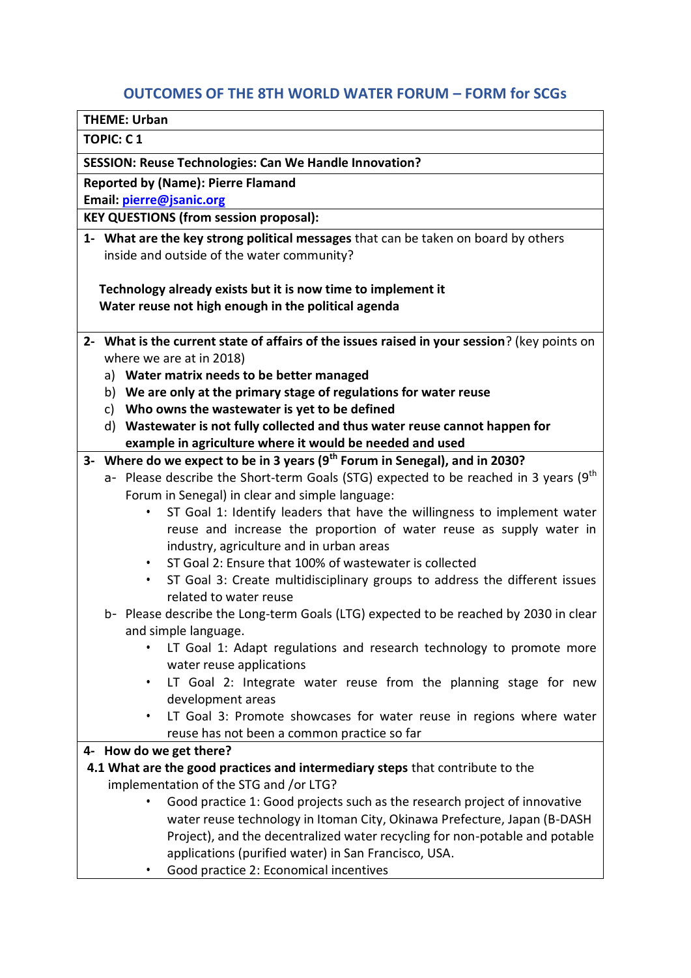# **OUTCOMES OF THE 8TH WORLD WATER FORUM – FORM for SCGs**

**THEME: Urban**

**TOPIC: C 1**

**SESSION: Reuse Technologies: Can We Handle Innovation?**

**Reported by (Name): Pierre Flamand**

**Email: [pierre@jsanic.org](mailto:pierre@jsanic.org)**

**KEY QUESTIONS (from session proposal):** 

**1- What are the key strong political messages** that can be taken on board by others inside and outside of the water community?

 **Technology already exists but it is now time to implement it Water reuse not high enough in the political agenda**

- **2- What is the current state of affairs of the issues raised in your session**? (key points on where we are at in 2018)
	- a) **Water matrix needs to be better managed**
	- b) **We are only at the primary stage of regulations for water reuse**
	- c) **Who owns the wastewater is yet to be defined**
	- d) **Wastewater is not fully collected and thus water reuse cannot happen for example in agriculture where it would be needed and used**

### **3- Where do we expect to be in 3 years (9th Forum in Senegal), and in 2030?**

- a- Please describe the Short-term Goals (STG) expected to be reached in 3 years ( $9<sup>th</sup>$ Forum in Senegal) in clear and simple language:
	- ST Goal 1: Identify leaders that have the willingness to implement water reuse and increase the proportion of water reuse as supply water in industry, agriculture and in urban areas
	- ST Goal 2: Ensure that 100% of wastewater is collected
	- ST Goal 3: Create multidisciplinary groups to address the different issues related to water reuse
- b- Please describe the Long-term Goals (LTG) expected to be reached by 2030 in clear and simple language.
	- LT Goal 1: Adapt regulations and research technology to promote more water reuse applications
	- LT Goal 2: Integrate water reuse from the planning stage for new development areas
	- LT Goal 3: Promote showcases for water reuse in regions where water reuse has not been a common practice so far

### **4- How do we get there?**

- **4.1 What are the good practices and intermediary steps** that contribute to the implementation of the STG and /or LTG?
	- Good practice 1: Good projects such as the research project of innovative water reuse technology in Itoman City, Okinawa Prefecture, Japan (B-DASH Project), and the decentralized water recycling for non-potable and potable applications (purified water) in San Francisco, USA.
	- Good practice 2: Economical incentives